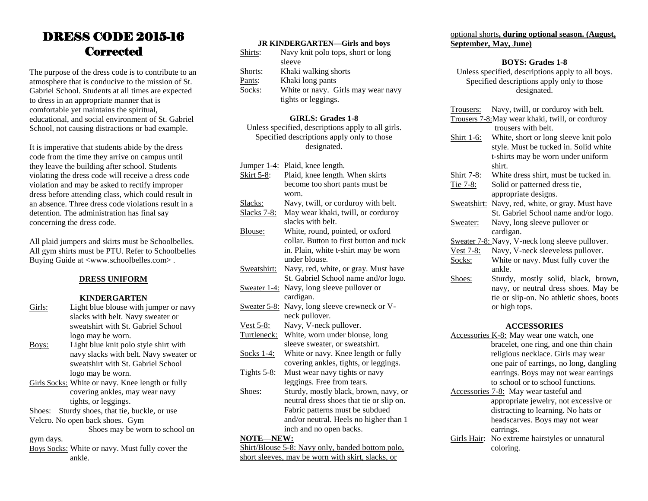### DRESS CODE 2015-16 **Corrected**

The purpose of the dress code is to contribute to an atmosphere that is conducive to the mission of St. Gabriel School. Students at all times are expected to dress in an appropriate manner that is comfortable yet maintains the spiritual, educational, and social environment of St. Gabriel School, not causing distractions or bad example.

It is imperative that students abide by the dress code from the time they arrive on campus until they leave the building after school. Students violating the dress code will receive a dress code violation and may be asked to rectify improper dress before attending class, which could result in an absence. Three dress code violations result in a detention. The administration has final say concerning the dress code.

All plaid jumpers and skirts must be Schoolbelles. All gym shirts must be PTU. Refer to Schoolbelles Buying Guide at <www.schoolbelles.com> .

#### **DRESS UNIFORM**

#### **KINDERGARTEN**

Girls: Light blue blouse with jumper or navy slacks with belt. Navy sweater or sweatshirt with St. Gabriel School logo may be worn. Boys: Light blue knit polo style shirt with navy slacks with belt. Navy sweater or sweatshirt with St. Gabriel School logo may be worn. Girls Socks: White or navy. Knee length or fully covering ankles, may wear navy tights, or leggings. Shoes: Sturdy shoes, that tie, buckle, or use Velcro. No open back shoes. Gym Shoes may be worn to school on gym days. Boys Socks: White or navy. Must fully cover the

ankle.

| <b>JR KINDERGARTEN-Girls and boys</b> |  |  |  |
|---------------------------------------|--|--|--|
|---------------------------------------|--|--|--|

| Shirts: | Navy knit polo tops, short or long |
|---------|------------------------------------|
|         | sleeve                             |
| Shorts: | Khaki walking shorts               |
| Pants:  | Khaki long pants                   |
| Socks:  | White or navy. Girls may wear navy |
|         | tights or leggings.                |

#### **GIRLS: Grades 1-8**

Unless specified, descriptions apply to all girls. Specified descriptions apply only to those designated.

|                     | Jumper 1-4: Plaid, knee length.          |
|---------------------|------------------------------------------|
| <u>Skirt 5-8:</u>   | Plaid, knee length. When skirts          |
|                     | become too short pants must be           |
|                     | worn.                                    |
| Slacks:             | Navy, twill, or corduroy with belt.      |
| <u>Slacks 7-8:</u>  | May wear khaki, twill, or corduroy       |
|                     | slacks with belt.                        |
| Blouse:             | White, round, pointed, or oxford         |
|                     | collar. Button to first button and tuck  |
|                     | in. Plain, white t-shirt may be worn     |
|                     | under blouse.                            |
| Sweatshirt:         | Navy, red, white, or gray. Must have     |
|                     | St. Gabriel School name and/or logo.     |
| <u>Sweater 1-4:</u> | Navy, long sleeve pullover or            |
|                     | cardigan.                                |
| Sweater 5-8:        | Navy, long sleeve crewneck or V-         |
|                     | neck pullover.                           |
| Vest $5-8$ :        | Navy, V-neck pullover.                   |
| Turtleneck:         | White, worn under blouse, long           |
|                     | sleeve sweater, or sweatshirt.           |
| <u>Socks 1-4:</u>   | White or navy. Knee length or fully      |
|                     | covering ankles, tights, or leggings.    |
| <b>Tights 5-8:</b>  | Must wear navy tights or navy            |
|                     | leggings. Free from tears.               |
| Shoes:              | Sturdy, mostly black, brown, navy, or    |
|                     | neutral dress shoes that tie or slip on. |
|                     | Fabric patterns must be subdued          |

Fabric patterns must be subdued and/or neutral. Heels no higher than 1 inch and no open backs.

#### **NOTE—NEW:**

Shirt/Blouse 5-8: Navy only, banded bottom polo, short sleeves, may be worn with skirt, slacks, or

#### optional shorts**, during optional season. (August, September, May, June)**

#### **BOYS: Grades 1-8**

Unless specified, descriptions apply to all boys. Specified descriptions apply only to those designated.

|                    | Trousers:                                        | Navy, twill, or corduroy with belt.             |  |  |  |
|--------------------|--------------------------------------------------|-------------------------------------------------|--|--|--|
|                    | Trousers 7-8: May wear khaki, twill, or corduroy |                                                 |  |  |  |
|                    |                                                  | trousers with belt.                             |  |  |  |
|                    | Shirt 1-6:                                       | White, short or long sleeve knit polo           |  |  |  |
|                    |                                                  | style. Must be tucked in. Solid white           |  |  |  |
|                    |                                                  | t-shirts may be worn under uniform              |  |  |  |
|                    |                                                  | shirt.                                          |  |  |  |
|                    | <u>Shirt 7-8:</u>                                | White dress shirt, must be tucked in.           |  |  |  |
|                    | Tie 7-8:                                         | Solid or patterned dress tie,                   |  |  |  |
|                    |                                                  | appropriate designs.                            |  |  |  |
|                    | Sweatshirt:                                      | Navy, red, white, or gray. Must have            |  |  |  |
|                    |                                                  | St. Gabriel School name and/or logo.            |  |  |  |
|                    | Sweater:                                         | Navy, long sleeve pullover or                   |  |  |  |
|                    |                                                  | cardigan.                                       |  |  |  |
|                    |                                                  | Sweater 7-8: Navy, V-neck long sleeve pullover. |  |  |  |
|                    | <u>Vest 7-8:</u>                                 | Navy, V-neck sleeveless pullover.               |  |  |  |
|                    | Socks:                                           | White or navy. Must fully cover the             |  |  |  |
|                    |                                                  | ankle.                                          |  |  |  |
|                    | Shoes:                                           | Sturdy, mostly solid, black, brown,             |  |  |  |
|                    |                                                  | navy, or neutral dress shoes. May be            |  |  |  |
|                    |                                                  | tie or slip-on. No athletic shoes, boots        |  |  |  |
|                    |                                                  | or high tops.                                   |  |  |  |
|                    |                                                  |                                                 |  |  |  |
| <b>ACCESSORIES</b> |                                                  |                                                 |  |  |  |
|                    |                                                  | Accessories K-8: May wear one watch, one        |  |  |  |
|                    | bracelet, one ring, and one thin chain           |                                                 |  |  |  |
|                    | religious necklace. Girls may wear               |                                                 |  |  |  |
|                    |                                                  | one pair of earrings, no long, dangling         |  |  |  |
|                    |                                                  | earrings. Boys may not wear earrings            |  |  |  |
|                    |                                                  | to school or to school functions.               |  |  |  |

- Accessories 7-8: May wear tasteful and appropriate jewelry, not excessive or distracting to learning. No hats or headscarves. Boys may not wear earrings.
- Girls Hair: No extreme hairstyles or unnatural coloring.